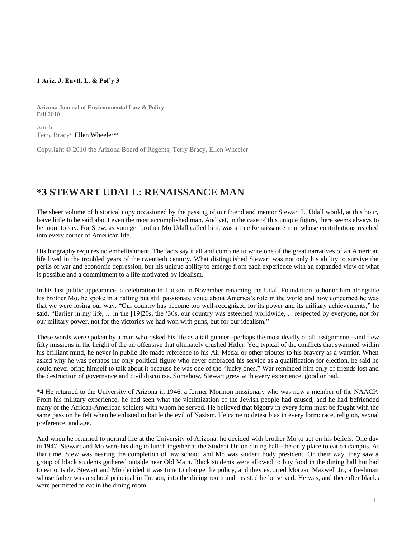## **1 Ariz. J. Envtl. L. & Pol'y 3**

**Arizona Journal of Environmental Law & Policy** Fall 2010

Article Terry Bracy<sup>al</sup> [Ellen Wheeler](http://www.westlaw.com/Link/Document/FullText?findType=h&pubNum=176284&cite=0286465801&originatingDoc=I0ecc82902df011e18b05fdf15589d8e8&refType=RQ&originationContext=document&vr=3.0&rs=cblt1.0&transitionType=DocumentItem&contextData=(sc.Search))<sup>aal</sup>

Copyright © 2010 the Arizona Board of Regents; Terry Bracy, Ellen Wheeler

## **\*3 STEWART UDALL: RENAISSANCE MAN**

The sheer volume of historical copy occasioned by the passing of our friend and mentor Stewart L. Udall would, at this hour, leave little to be said about even the most accomplished man. And yet, in the case of this unique figure, there seems always to be more to say. For Stew, as younger brother Mo Udall called him, was a true Renaissance man whose contributions reached into every corner of American life.

His biography requires no embellishment. The facts say it all and combine to write one of the great narratives of an American life lived in the troubled years of the twentieth century. What distinguished Stewart was not only his ability to survive the perils of war and economic depression, but his unique ability to emerge from each experience with an expanded view of what is possible and a commitment to a life motivated by idealism.

In his last public appearance, a celebration in Tucson in November renaming the Udall Foundation to honor him alongside his brother Mo, he spoke in a halting but still passionate voice about America's role in the world and how concerned he was that we were losing our way. "Our country has become too well-recognized for its power and its military achievements," he said. "Earlier in my life, ... in the [19]20s, the '30s, our country was esteemed worldwide, ... respected by everyone, not for our military power, not for the victories we had won with guns, but for our idealism."

These words were spoken by a man who risked his life as a tail gunner--perhaps the most deadly of all assignments--and flew fifty missions in the height of the air offensive that ultimately crushed Hitler. Yet, typical of the conflicts that swarmed within his brilliant mind, he never in public life made reference to his Air Medal or other tributes to his bravery as a warrior. When asked why he was perhaps the only political figure who never embraced his service as a qualification for election, he said he could never bring himself to talk about it because he was one of the "lucky ones." War reminded him only of friends lost and the destruction of governance and civil discourse. Somehow, Stewart grew with every experience, good or bad.

**\*4** He returned to the University of Arizona in 1946, a former Mormon missionary who was now a member of the NAACP. From his military experience, he had seen what the victimization of the Jewish people had caused, and he had befriended many of the African-American soldiers with whom he served. He believed that bigotry in every form must be fought with the same passion he felt when he enlisted to battle the evil of Nazism. He came to detest bias in every form: race, religion, sexual preference, and age.

And when he returned to normal life at the University of Arizona, he decided with brother Mo to act on his beliefs. One day in 1947, Stewart and Mo were heading to lunch together at the Student Union dining hall--the only place to eat on campus. At that time, Stew was nearing the completion of law school, and Mo was student body president. On their way, they saw a group of black students gathered outside near Old Main. Black students were allowed to buy food in the dining hall but had to eat outside. Stewart and Mo decided it was time to change the policy, and they escorted Morgan Maxwell Jr., a freshman whose father was a school principal in Tucson, into the dining room and insisted he be served. He was, and thereafter blacks were permitted to eat in the dining room.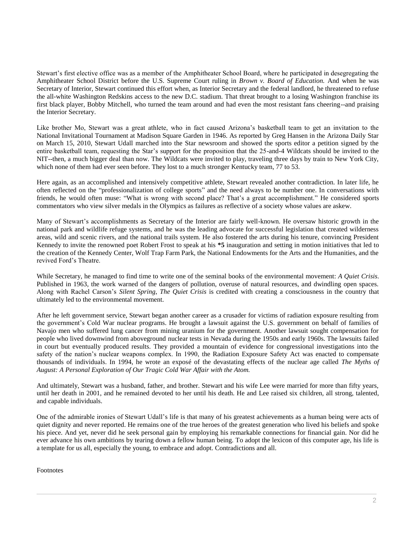Stewart's first elective office was as a member of the Amphitheater School Board, where he participated in desegregating the Amphitheater School District before the U.S. Supreme Court ruling in *Brown v. Board of Education.* And when he was Secretary of Interior, Stewart continued this effort when, as Interior Secretary and the federal landlord, he threatened to refuse the all-white Washington Redskins access to the new D.C. stadium. That threat brought to a losing Washington franchise its first black player, Bobby Mitchell, who turned the team around and had even the most resistant fans cheering--and praising the Interior Secretary.

Like brother Mo, Stewart was a great athlete, who in fact caused Arizona's basketball team to get an invitation to the National Invitational Tournament at Madison Square Garden in 1946. As reported by Greg Hansen in the Arizona Daily Star on March 15, 2010, Stewart Udall marched into the Star newsroom and showed the sports editor a petition signed by the entire basketball team, requesting the Star's support for the proposition that the 25-and-4 Wildcats should be invited to the NIT--then, a much bigger deal than now. The Wildcats were invited to play, traveling three days by train to New York City, which none of them had ever seen before. They lost to a much stronger Kentucky team, 77 to 53.

Here again, as an accomplished and intensively competitive athlete, Stewart revealed another contradiction. In later life, he often reflected on the "professionalization of college sports" and the need always to be number one. In conversations with friends, he would often muse: "What is wrong with second place? That's a great accomplishment." He considered sports commentators who view silver medals in the Olympics as failures as reflective of a society whose values are askew.

Many of Stewart's accomplishments as Secretary of the Interior are fairly well-known. He oversaw historic growth in the national park and wildlife refuge systems, and he was the leading advocate for successful legislation that created wilderness areas, wild and scenic rivers, and the national trails system. He also fostered the arts during his tenure, convincing President Kennedy to invite the renowned poet Robert Frost to speak at his **\*5** inauguration and setting in motion initiatives that led to the creation of the Kennedy Center, Wolf Trap Farm Park, the National Endowments for the Arts and the Humanities, and the revived Ford's Theatre.

While Secretary, he managed to find time to write one of the seminal books of the environmental movement: *A Quiet Crisis*. Published in 1963, the work warned of the dangers of pollution, overuse of natural resources, and dwindling open spaces. Along with Rachel Carson's *Silent Spring*, *The Quiet Crisis* is credited with creating a consciousness in the country that ultimately led to the environmental movement.

After he left government service, Stewart began another career as a crusader for victims of radiation exposure resulting from the government's Cold War nuclear programs. He brought a lawsuit against the U.S. government on behalf of families of Navajo men who suffered lung cancer from mining uranium for the government. Another lawsuit sought compensation for people who lived downwind from aboveground nuclear tests in Nevada during the 1950s and early 1960s. The lawsuits failed in court but eventually produced results. They provided a mountain of evidence for congressional investigations into the safety of the nation's nuclear weapons complex. In 1990, the Radiation Exposure Safety Act was enacted to compensate thousands of individuals. In 1994, he wrote an exposé of the devastating effects of the nuclear age called *The Myths of August: A Personal Exploration of Our Tragic Cold War Affair with the Atom.*

And ultimately, Stewart was a husband, father, and brother. Stewart and his wife Lee were married for more than fifty years, until her death in 2001, and he remained devoted to her until his death. He and Lee raised six children, all strong, talented, and capable individuals.

One of the admirable ironies of Stewart Udall's life is that many of his greatest achievements as a human being were acts of quiet dignity and never reported. He remains one of the true heroes of the greatest generation who lived his beliefs and spoke his piece. And yet, never did he seek personal gain by employing his remarkable connections for financial gain. Nor did he ever advance his own ambitions by tearing down a fellow human being. To adopt the lexicon of this computer age, his life is a template for us all, especially the young, to embrace and adopt. Contradictions and all.

Footnotes